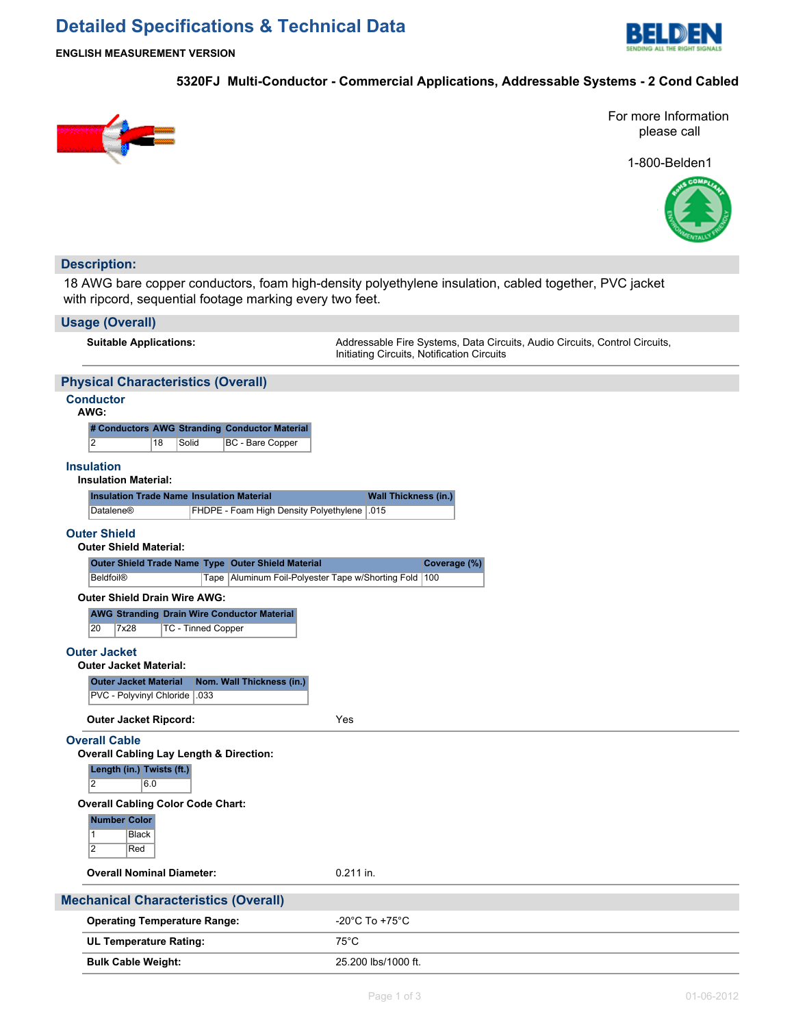# **Detailed Specifications & Technical Data**



**ENGLISH MEASUREMENT VERSION**

### **5320FJ Multi-Conductor - Commercial Applications, Addressable Systems - 2 Cond Cabled**



For more Information please call

1-800-Belden1



## **Description:**

18 AWG bare copper conductors, foam high-density polyethylene insulation, cabled together, PVC jacket with ripcord, sequential footage marking every two feet.

#### **Usage (Overall)**

Suitable Applications: **Addressable Fire Systems, Data Circuits, Audio Circuits**, Control Circuits, Control Circuits, Initiating Circuits, Notification Circuits

## **Physical Characteristics (Overall)**

## **Conductor**

**AWG:**

|   |    |       | # Conductors AWG Stranding Conductor Material |
|---|----|-------|-----------------------------------------------|
| 2 | 18 | Solid | <b>BC</b> - Bare Copper                       |

#### **Insulation**

#### **Insulation Material:**

| <b>Insulation Trade Name Insulation Material</b> |                                              | <b>Wall Thickness (in.)</b> |
|--------------------------------------------------|----------------------------------------------|-----------------------------|
| Datalene®                                        | FHDPE - Foam High Density Polyethylene 1.015 |                             |

#### **Outer Shield**

|  |  | <b>Outer Shield Material:</b> |
|--|--|-------------------------------|
|--|--|-------------------------------|

| Outer Shield Trade Name Type Outer Shield Material |                                                           | Coverage (%) |
|----------------------------------------------------|-----------------------------------------------------------|--------------|
| Beldfoil <sup>®</sup>                              | Tape   Aluminum Foil-Polyester Tape w/Shorting Fold   100 |              |

#### **Outer Shield Drain Wire AWG:**

|              |      | <b>AWG Stranding Drain Wire Conductor Material</b> |
|--------------|------|----------------------------------------------------|
| $ 20\rangle$ | 7x28 | TC - Tinned Copper                                 |

#### **Outer Jacket**

**Outer Jacket Material Nom. Wall Thickness (in.)**

PVC - Polyvinyl Chloride .033

**Outer Jacket Ripcord:** Yes

#### **Overall Cable**

**Overall Cabling Lay Length & Direction: Length (in.) Twists (ft.)**



#### **Overall Cabling Color Code Chart:**

## **Number Color**

**Black** 2 Red

# **Overall Nominal Diameter:** 0.211 in.

# **Mechanical Characteristics (Overall)**

| <b>Operating Temperature Range:</b> | -20°C To +75°C      |
|-------------------------------------|---------------------|
| UL Temperature Rating:              | $75^{\circ}$ C      |
| <b>Bulk Cable Weight:</b>           | 25.200 lbs/1000 ft. |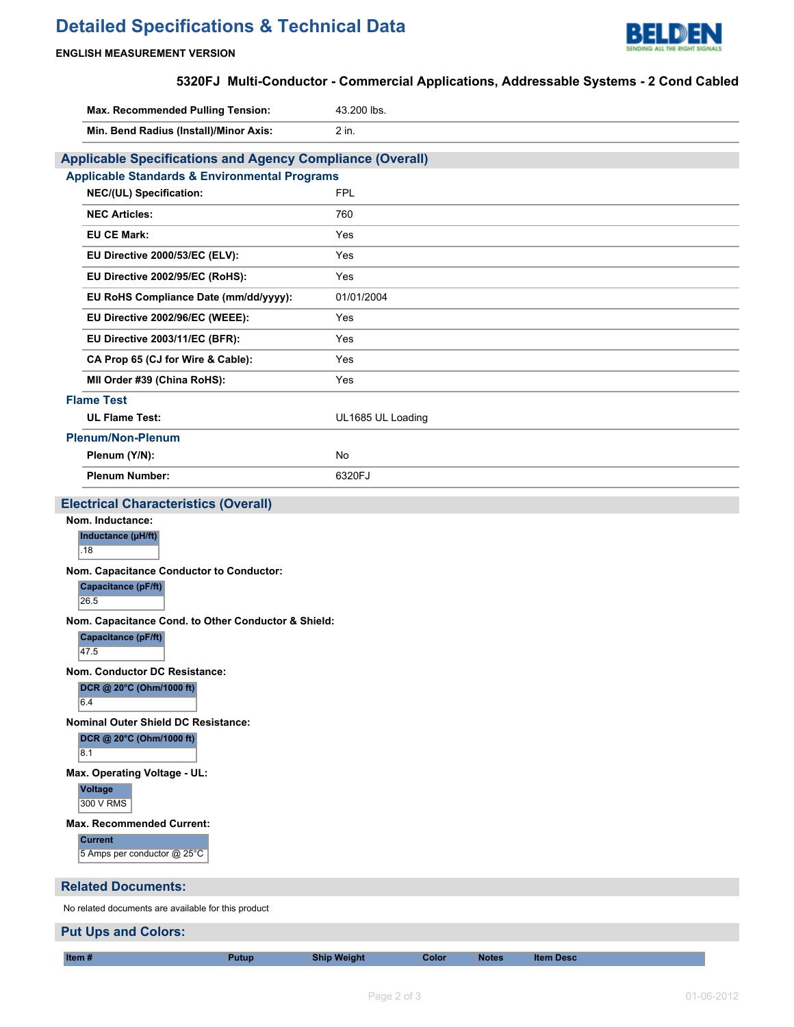# **Detailed Specifications & Technical Data**



## **ENGLISH MEASUREMENT VERSION**

# **5320FJ Multi-Conductor - Commercial Applications, Addressable Systems - 2 Cond Cabled**

| Max. Recommended Pulling Tension:                                | 43.200 lbs.                                         |  |  |
|------------------------------------------------------------------|-----------------------------------------------------|--|--|
| Min. Bend Radius (Install)/Minor Axis:                           | 2 in.                                               |  |  |
| <b>Applicable Specifications and Agency Compliance (Overall)</b> |                                                     |  |  |
| <b>Applicable Standards &amp; Environmental Programs</b>         |                                                     |  |  |
| NEC/(UL) Specification:                                          | <b>FPL</b>                                          |  |  |
| <b>NEC Articles:</b>                                             | 760                                                 |  |  |
| <b>EU CE Mark:</b>                                               | Yes                                                 |  |  |
| EU Directive 2000/53/EC (ELV):                                   | Yes                                                 |  |  |
| EU Directive 2002/95/EC (RoHS):                                  | Yes                                                 |  |  |
| EU RoHS Compliance Date (mm/dd/yyyy):                            | 01/01/2004                                          |  |  |
| EU Directive 2002/96/EC (WEEE):                                  | Yes                                                 |  |  |
| EU Directive 2003/11/EC (BFR):                                   | Yes                                                 |  |  |
| CA Prop 65 (CJ for Wire & Cable):                                | Yes                                                 |  |  |
| MII Order #39 (China RoHS):                                      | Yes                                                 |  |  |
| <b>Flame Test</b>                                                |                                                     |  |  |
| <b>UL Flame Test:</b>                                            | UL1685 UL Loading                                   |  |  |
| <b>Plenum/Non-Plenum</b>                                         |                                                     |  |  |
| Plenum (Y/N):                                                    | <b>No</b>                                           |  |  |
| <b>Plenum Number:</b>                                            | 6320FJ                                              |  |  |
| <b>Electrical Characteristics (Overall)</b>                      |                                                     |  |  |
| Nom. Inductance:                                                 |                                                     |  |  |
| Inductance (µH/ft)<br>.18                                        |                                                     |  |  |
| Nom. Capacitance Conductor to Conductor:                         |                                                     |  |  |
| <b>Capacitance (pF/ft)</b><br>26.5                               |                                                     |  |  |
|                                                                  | Nom. Capacitance Cond. to Other Conductor & Shield: |  |  |
| Capacitance (pF/ft)<br>47.5                                      |                                                     |  |  |
| Nom. Conductor DC Resistance:                                    |                                                     |  |  |
| 6.4                                                              | DCR @ 20°C (Ohm/1000 ft)                            |  |  |
| <b>Nominal Outer Shield DC Resistance:</b>                       |                                                     |  |  |
| DCR @ 20°C (Ohm/1000 ft)<br>8.1                                  |                                                     |  |  |
| Max. Operating Voltage - UL:                                     |                                                     |  |  |
| <b>Voltage</b><br>300 V RMS                                      |                                                     |  |  |
| Max. Recommended Current:                                        |                                                     |  |  |
| <b>Current</b><br>5 Amps per conductor @ 25°C                    |                                                     |  |  |
| <b>Related Documents:</b>                                        |                                                     |  |  |
| No related documents are available for this product              |                                                     |  |  |

# **Put Ups and Colors:**

**Item # Putup Ship Weight Color Notes Item Desc**